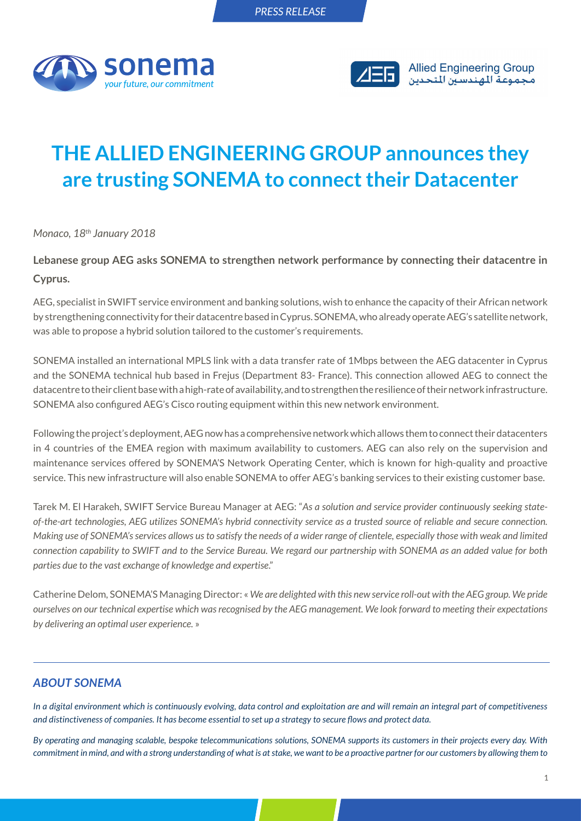



## **THE ALLIED ENGINEERING GROUP announces they are trusting SONEMA to connect their Datacenter**

*Monaco, 18th January 2018*

**Lebanese group AEG asks SONEMA to strengthen network performance by connecting their datacentre in Cyprus.**

AEG, specialist in SWIFT service environment and banking solutions, wish to enhance the capacity of their African network by strengthening connectivity for their datacentre based in Cyprus. SONEMA, who already operate AEG's satellite network, was able to propose a hybrid solution tailored to the customer's requirements.

SONEMA installed an international MPLS link with a data transfer rate of 1Mbps between the AEG datacenter in Cyprus and the SONEMA technical hub based in Frejus (Department 83- France). This connection allowed AEG to connect the datacentre to their client base with a high-rate of availability, and to strengthen the resilience of their network infrastructure. SONEMA also configured AEG's Cisco routing equipment within this new network environment.

Following the project's deployment, AEG now has a comprehensive network which allows them to connect their datacenters in 4 countries of the EMEA region with maximum availability to customers. AEG can also rely on the supervision and maintenance services offered by SONEMA'S Network Operating Center, which is known for high-quality and proactive service. This new infrastructure will also enable SONEMA to offer AEG's banking services to their existing customer base.

Tarek M. El Harakeh, SWIFT Service Bureau Manager at AEG: "*As a solution and service provider continuously seeking stateof-the-art technologies, AEG utilizes SONEMA's hybrid connectivity service as a trusted source of reliable and secure connection. Making use of SONEMA's services allows us to satisfy the needs of a wider range of clientele, especially those with weak and limited connection capability to SWIFT and to the Service Bureau. We regard our partnership with SONEMA as an added value for both parties due to the vast exchange of knowledge and expertise*."

Catherine Delom, SONEMA'S Managing Director: « *We are delighted with this new service roll-out with the AEG group. We pride ourselves on our technical expertise which was recognised by the AEG management. We look forward to meeting their expectations by delivering an optimal user experience.* »

## *ABOUT SONEMA*

*In a digital environment which is continuously evolving, data control and exploitation are and will remain an integral part of competitiveness and distinctiveness of companies. It has become essential to set up a strategy to secure flows and protect data.* 

*By operating and managing scalable, bespoke telecommunications solutions, SONEMA supports its customers in their projects every day. With commitment in mind, and with a strong understanding of what is at stake, we want to be a proactive partner for our customers by allowing them to*